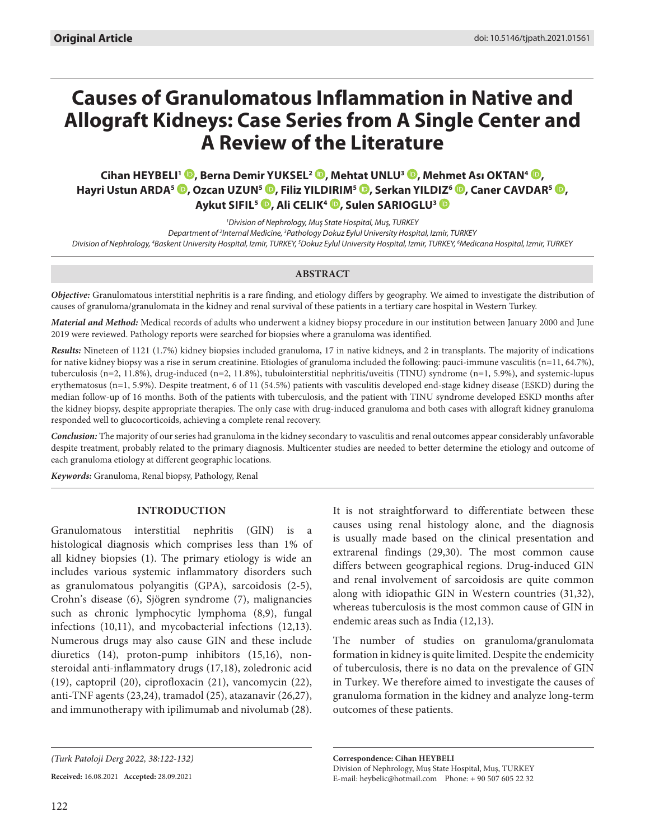# **Causes of Granulomatous Inflammation in Native and Allograft Kidneys: Case Series from A Single Center and A Review of the Literature**

**Cihan HEYBELI1 [,](https://orcid.org/0000-0001-7903-1106) Berna Demir YUKSEL2 , Mehtat UNLU3 [,](https://orcid.org/0000-0002-7170-7594) Mehmet Ası OKTAN4 , Hayri Ustun ARDA<sup>5</sup> <sup>(D</sup>[,](https://orcid.org/0000-0003-1716-9884) Ozcan UZUN<sup>5</sup> <sup>(D</sup>, Filiz YILDIRIM<sup>5</sup> <sup>(D</sup>, Serkan YILDIZ<sup>6</sup> <sup>(D</sup>, Caner CAVDAR<sup>5</sup> <sup>(D</sup>, Aykut SIFIL5 , Ali CELIK4 , Sulen SARIOGLU3**

*1 Division of Nephrology, Muş State Hospital, Muş, TURKEY* Department of <sup>2</sup>Internal Medicine, <sup>3</sup> Pathology Dokuz Eylul University Hospital, Izmir, TURKEY Division of Nephrology, <sup>4</sup>Baskent University Hospital, Izmir, TURKEY, <sup>s</sup>Dokuz Eylul University Hospital, Izmir, TURKEY, <sup>6</sup>Medicana Hospital, Izmir, TURKEY

# **ABSTRACT**

*Objective:* Granulomatous interstitial nephritis is a rare finding, and etiology differs by geography. We aimed to investigate the distribution of causes of granuloma/granulomata in the kidney and renal survival of these patients in a tertiary care hospital in Western Turkey.

*Material and Method:* Medical records of adults who underwent a kidney biopsy procedure in our institution between January 2000 and June 2019 were reviewed. Pathology reports were searched for biopsies where a granuloma was identified.

*Results:* Nineteen of 1121 (1.7%) kidney biopsies included granuloma, 17 in native kidneys, and 2 in transplants. The majority of indications for native kidney biopsy was a rise in serum creatinine. Etiologies of granuloma included the following: pauci-immune vasculitis (n=11, 64.7%), tuberculosis (n=2, 11.8%), drug-induced (n=2, 11.8%), tubulointerstitial nephritis/uveitis (TINU) syndrome (n=1, 5.9%), and systemic-lupus erythematosus (n=1, 5.9%). Despite treatment, 6 of 11 (54.5%) patients with vasculitis developed end-stage kidney disease (ESKD) during the median follow-up of 16 months. Both of the patients with tuberculosis, and the patient with TINU syndrome developed ESKD months after the kidney biopsy, despite appropriate therapies. The only case with drug-induced granuloma and both cases with allograft kidney granuloma responded well to glucocorticoids, achieving a complete renal recovery.

*Conclusion:* The majority of our series had granuloma in the kidney secondary to vasculitis and renal outcomes appear considerably unfavorable despite treatment, probably related to the primary diagnosis. Multicenter studies are needed to better determine the etiology and outcome of each granuloma etiology at different geographic locations.

*Keywords:* Granuloma, Renal biopsy, Pathology, Renal

# **INTRODUCTION**

Granulomatous interstitial nephritis (GIN) is a histological diagnosis which comprises less than 1% of all kidney biopsies (1). The primary etiology is wide an includes various systemic inflammatory disorders such as granulomatous polyangitis (GPA), sarcoidosis (2-5), Crohn's disease (6), Sjögren syndrome (7), malignancies such as chronic lymphocytic lymphoma (8,9), fungal infections (10,11), and mycobacterial infections (12,13). Numerous drugs may also cause GIN and these include diuretics (14), proton-pump inhibitors (15,16), nonsteroidal anti-inflammatory drugs (17,18), zoledronic acid (19), captopril (20), ciprofloxacin (21), vancomycin (22), anti-TNF agents (23,24), tramadol (25), atazanavir (26,27), and immunotherapy with ipilimumab and nivolumab (28).

**Received:** 16.08.2021 **Accepted:** 28.09.2021

It is not straightforward to differentiate between these causes using renal histology alone, and the diagnosis is usually made based on the clinical presentation and extrarenal findings (29,30). The most common cause differs between geographical regions. Drug-induced GIN and renal involvement of sarcoidosis are quite common along with idiopathic GIN in Western countries (31,32), whereas tuberculosis is the most common cause of GIN in endemic areas such as India (12,13).

The number of studies on granuloma/granulomata formation in kidney is quite limited. Despite the endemicity of tuberculosis, there is no data on the prevalence of GIN in Turkey. We therefore aimed to investigate the causes of granuloma formation in the kidney and analyze long-term outcomes of these patients.

**Correspondence: Cihan HEYBELI**  Division of Nephrology, Muş State Hospital, Muş, TURKEY E-mail: heybelic@hotmail.com Phone: + 90 507 605 22 32

*<sup>(</sup>Turk Patoloji Derg 2022, 38:122-132)*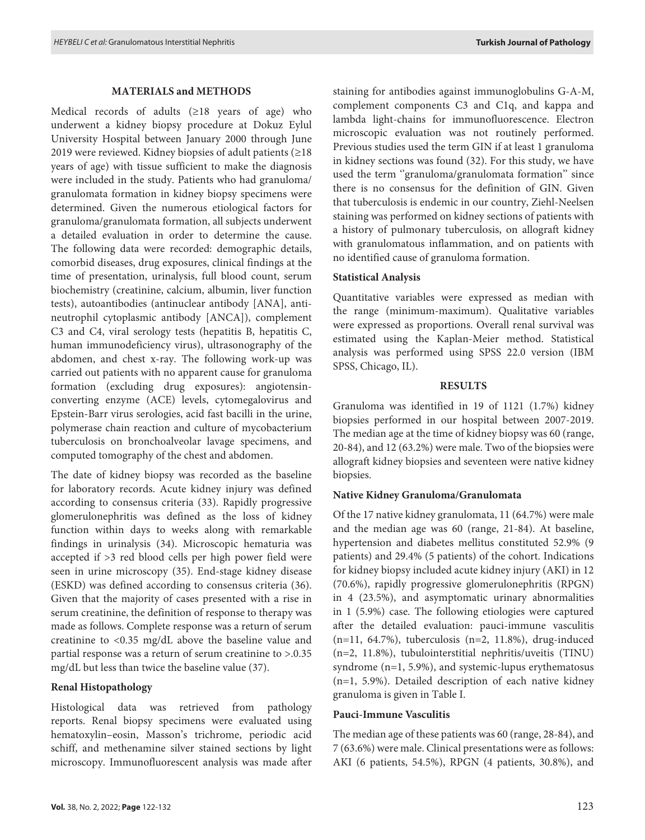#### **MATERIALS and METHODS**

Medical records of adults (≥18 years of age) who underwent a kidney biopsy procedure at Dokuz Eylul University Hospital between January 2000 through June 2019 were reviewed. Kidney biopsies of adult patients (≥18 years of age) with tissue sufficient to make the diagnosis were included in the study. Patients who had granuloma/ granulomata formation in kidney biopsy specimens were determined. Given the numerous etiological factors for granuloma/granulomata formation, all subjects underwent a detailed evaluation in order to determine the cause. The following data were recorded: demographic details, comorbid diseases, drug exposures, clinical findings at the time of presentation, urinalysis, full blood count, serum biochemistry (creatinine, calcium, albumin, liver function tests), autoantibodies (antinuclear antibody [ANA], antineutrophil cytoplasmic antibody [ANCA]), complement C3 and C4, viral serology tests (hepatitis B, hepatitis C, human immunodeficiency virus), ultrasonography of the abdomen, and chest x-ray. The following work-up was carried out patients with no apparent cause for granuloma formation (excluding drug exposures): angiotensinconverting enzyme (ACE) levels, cytomegalovirus and Epstein-Barr virus serologies, acid fast bacilli in the urine, polymerase chain reaction and culture of mycobacterium tuberculosis on bronchoalveolar lavage specimens, and computed tomography of the chest and abdomen.

The date of kidney biopsy was recorded as the baseline for laboratory records. Acute kidney injury was defined according to consensus criteria (33). Rapidly progressive glomerulonephritis was defined as the loss of kidney function within days to weeks along with remarkable findings in urinalysis (34). Microscopic hematuria was accepted if >3 red blood cells per high power field were seen in urine microscopy (35). End-stage kidney disease (ESKD) was defined according to consensus criteria (36). Given that the majority of cases presented with a rise in serum creatinine, the definition of response to therapy was made as follows. Complete response was a return of serum creatinine to <0.35 mg/dL above the baseline value and partial response was a return of serum creatinine to >.0.35 mg/dL but less than twice the baseline value (37).

# **Renal Histopathology**

Histological data was retrieved from pathology reports. Renal biopsy specimens were evaluated using hematoxylin–eosin, Masson's trichrome, periodic acid schiff, and methenamine silver stained sections by light microscopy. Immunofluorescent analysis was made after staining for antibodies against immunoglobulins G-A-M, complement components C3 and C1q, and kappa and lambda light-chains for immunofluorescence. Electron microscopic evaluation was not routinely performed. Previous studies used the term GIN if at least 1 granuloma in kidney sections was found (32). For this study, we have used the term "granuloma/granulomata formation" since there is no consensus for the definition of GIN. Given that tuberculosis is endemic in our country, Ziehl-Neelsen staining was performed on kidney sections of patients with a history of pulmonary tuberculosis, on allograft kidney with granulomatous inflammation, and on patients with no identified cause of granuloma formation.

#### **Statistical Analysis**

Quantitative variables were expressed as median with the range (minimum-maximum). Qualitative variables were expressed as proportions. Overall renal survival was estimated using the Kaplan-Meier method. Statistical analysis was performed using SPSS 22.0 version (IBM SPSS, Chicago, IL).

#### **RESULTS**

Granuloma was identified in 19 of 1121 (1.7%) kidney biopsies performed in our hospital between 2007-2019. The median age at the time of kidney biopsy was 60 (range, 20-84), and 12 (63.2%) were male. Two of the biopsies were allograft kidney biopsies and seventeen were native kidney biopsies.

# **Native Kidney Granuloma/Granulomata**

Of the 17 native kidney granulomata, 11 (64.7%) were male and the median age was 60 (range, 21-84). At baseline, hypertension and diabetes mellitus constituted 52.9% (9 patients) and 29.4% (5 patients) of the cohort. Indications for kidney biopsy included acute kidney injury (AKI) in 12 (70.6%), rapidly progressive glomerulonephritis (RPGN) in 4 (23.5%), and asymptomatic urinary abnormalities in 1 (5.9%) case. The following etiologies were captured after the detailed evaluation: pauci-immune vasculitis  $(n=11, 64.7\%)$ , tuberculosis  $(n=2, 11.8\%)$ , drug-induced (n=2, 11.8%), tubulointerstitial nephritis/uveitis (TINU) syndrome (n=1, 5.9%), and systemic-lupus erythematosus (n=1, 5.9%). Detailed description of each native kidney granuloma is given in Table I.

# **Pauci-Immune Vasculitis**

The median age of these patients was 60 (range, 28-84), and 7 (63.6%) were male. Clinical presentations were as follows: AKI (6 patients, 54.5%), RPGN (4 patients, 30.8%), and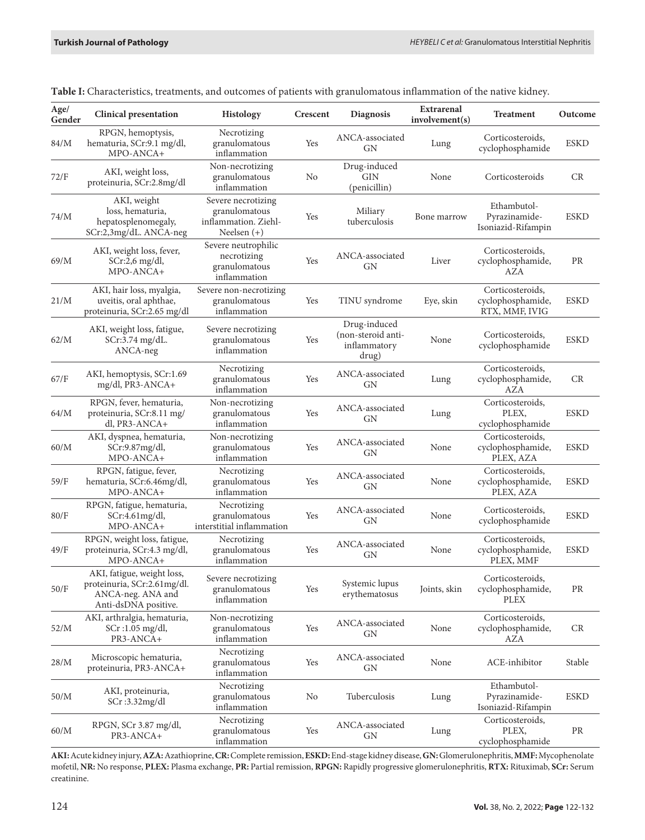| Age/<br>Gender | <b>Clinical presentation</b>                                                                           | <b>Histology</b>                                                             | Crescent | <b>Diagnosis</b>                                            | Extrarenal<br>involvement(s) | <b>Treatment</b>                                        | Outcome     |
|----------------|--------------------------------------------------------------------------------------------------------|------------------------------------------------------------------------------|----------|-------------------------------------------------------------|------------------------------|---------------------------------------------------------|-------------|
| 84/M           | RPGN, hemoptysis,<br>hematuria, SCr:9.1 mg/dl,<br>MPO-ANCA+                                            | Necrotizing<br>granulomatous<br>inflammation                                 | Yes      | ANCA-associated<br>GN                                       | Lung                         | Corticosteroids,<br>cyclophosphamide                    | <b>ESKD</b> |
| 72/F           | AKI, weight loss,<br>proteinuria, SCr:2.8mg/dl                                                         | Non-necrotizing<br>granulomatous<br>inflammation                             | No       | Drug-induced<br>GIN<br>(penicillin)                         | None                         | Corticosteroids                                         | CR          |
| $74/M$         | AKI, weight<br>loss, hematuria,<br>hepatosplenomegaly,<br>SCr:2,3mg/dL. ANCA-neg                       | Severe necrotizing<br>granulomatous<br>inflammation. Ziehl-<br>Neelsen $(+)$ | Yes      | Miliary<br>tuberculosis                                     | Bone marrow                  | Ethambutol-<br>Pyrazinamide-<br>Isoniazid-Rifampin      | <b>ESKD</b> |
| 69/M           | AKI, weight loss, fever,<br>$SCr:2,6$ mg/dl,<br>MPO-ANCA+                                              | Severe neutrophilic<br>necrotizing<br>granulomatous<br>inflammation          | Yes      | ANCA-associated<br>GN                                       | Liver                        | Corticosteroids,<br>cyclophosphamide,<br>AZA            | PR          |
| 21/M           | AKI, hair loss, myalgia,<br>uveitis, oral aphthae,<br>proteinuria, SCr:2.65 mg/dl                      | Severe non-necrotizing<br>granulomatous<br>inflammation                      | Yes      | TINU syndrome                                               | Eye, skin                    | Corticosteroids,<br>cyclophosphamide,<br>RTX, MMF, IVIG | <b>ESKD</b> |
| 62/M           | AKI, weight loss, fatigue,<br>SCr:3.74 mg/dL.<br>ANCA-neg                                              | Severe necrotizing<br>granulomatous<br>inflammation                          | Yes      | Drug-induced<br>(non-steroid anti-<br>inflammatory<br>drug) | None                         | Corticosteroids,<br>cyclophosphamide                    | <b>ESKD</b> |
| 67/F           | AKI, hemoptysis, SCr:1.69<br>$mg/dl$ , PR3-ANCA+                                                       | Necrotizing<br>granulomatous<br>inflammation                                 | Yes      | ANCA-associated<br>GN                                       | Lung                         | Corticosteroids,<br>cyclophosphamide,<br>AZA            | CR          |
| 64/M           | RPGN, fever, hematuria,<br>proteinuria, SCr:8.11 mg/<br>dl, PR3-ANCA+                                  | Non-necrotizing<br>granulomatous<br>inflammation                             | Yes      | ANCA-associated<br>GN                                       | Lung                         | Corticosteroids.<br>PLEX,<br>cyclophosphamide           | <b>ESKD</b> |
| 60/M           | AKI, dyspnea, hematuria,<br>SCr:9.87mg/dl,<br>MPO-ANCA+                                                | Non-necrotizing<br>granulomatous<br>inflammation                             | Yes      | ANCA-associated<br><b>GN</b>                                | None                         | Corticosteroids,<br>cyclophosphamide,<br>PLEX, AZA      | <b>ESKD</b> |
| 59/F           | RPGN, fatigue, fever,<br>hematuria, SCr:6.46mg/dl,<br>MPO-ANCA+                                        | Necrotizing<br>granulomatous<br>inflammation                                 | Yes      | ANCA-associated<br>GN                                       | None                         | Corticosteroids,<br>cyclophosphamide,<br>PLEX, AZA      | <b>ESKD</b> |
| 80/F           | RPGN, fatigue, hematuria,<br>SCr:4.61mg/dl,<br>MPO-ANCA+                                               | Necrotizing<br>granulomatous<br>interstitial inflammation                    | Yes      | ANCA-associated<br><b>GN</b>                                | None                         | Corticosteroids,<br>cyclophosphamide                    | <b>ESKD</b> |
| 49/F           | RPGN, weight loss, fatigue,<br>proteinuria, SCr:4.3 mg/dl,<br>MPO-ANCA+                                | Necrotizing<br>granulomatous<br>inflammation                                 | Yes      | ANCA-associated<br>GN                                       | None                         | Corticosteroids,<br>cyclophosphamide,<br>PLEX, MMF      | <b>ESKD</b> |
| 50/F           | AKI, fatigue, weight loss,<br>proteinuria, SCr:2.61mg/dl.<br>ANCA-neg. ANA and<br>Anti-dsDNA positive. | Severe necrotizing<br>granulomatous<br>inflammation                          | Yes      | Systemic lupus<br>erythematosus                             | Joints, skin                 | Corticosteroids.<br>cyclophosphamide,<br><b>PLEX</b>    | PR          |
| 52/M           | AKI, arthralgia, hematuria,<br>$SCr:1.05$ mg/dl,<br>PR3-ANCA+                                          | Non-necrotizing<br>granulomatous<br>inflammation                             | Yes      | ANCA-associated<br>GN                                       | None                         | Corticosteroids,<br>cyclophosphamide,<br>AZA            | CR          |
| 28/M           | Microscopic hematuria,<br>proteinuria, PR3-ANCA+                                                       | Necrotizing<br>granulomatous<br>inflammation                                 | Yes      | ANCA-associated<br><b>GN</b>                                | None                         | ACE-inhibitor                                           | Stable      |
| 50/M           | AKI, proteinuria,<br>SCr:3.32mg/dl                                                                     | Necrotizing<br>granulomatous<br>inflammation                                 | No       | Tuberculosis                                                | Lung                         | Ethambutol-<br>Pyrazinamide-<br>Isoniazid-Rifampin      | <b>ESKD</b> |
| 60/M           | RPGN, SCr 3.87 mg/dl,<br>PR3-ANCA+                                                                     | Necrotizing<br>granulomatous<br>inflammation                                 | Yes      | ANCA-associated<br>GN                                       | Lung                         | Corticosteroids,<br>PLEX,<br>cyclophosphamide           | PR          |

**AKI:** Acute kidney injury, **AZA:** Azathioprine, **CR:** Complete remission, **ESKD:** End-stage kidney disease, **GN:** Glomerulonephritis, **MMF:** Mycophenolate mofetil, **NR:** No response, **PLEX:** Plasma exchange, **PR:** Partial remission, **RPGN:** Rapidly progressive glomerulonephritis, **RTX:** Rituximab, **SCr:** Serum creatinine.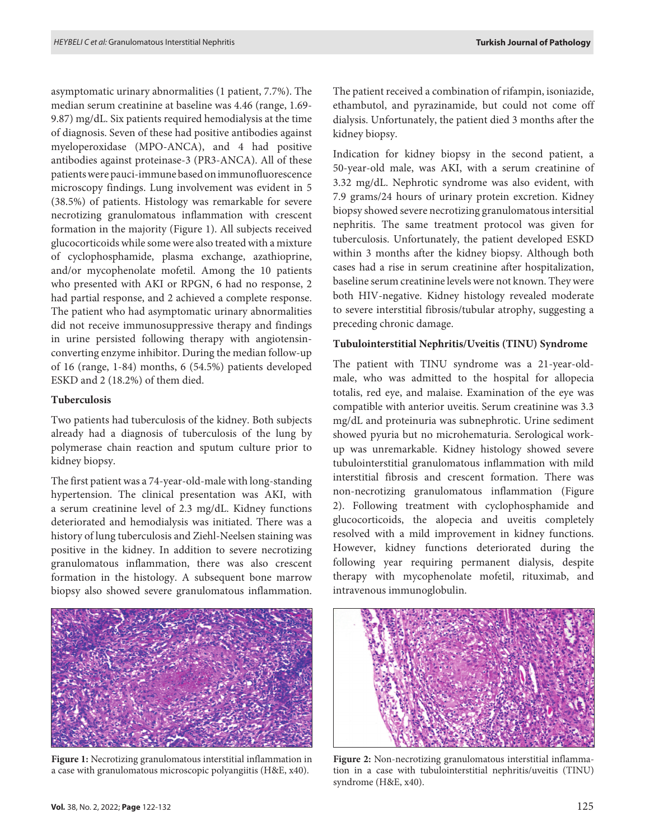asymptomatic urinary abnormalities (1 patient, 7.7%). The median serum creatinine at baseline was 4.46 (range, 1.69- 9.87) mg/dL. Six patients required hemodialysis at the time of diagnosis. Seven of these had positive antibodies against myeloperoxidase (MPO-ANCA), and 4 had positive antibodies against proteinase-3 (PR3-ANCA). All of these patients were pauci-immune based on immunofluorescence microscopy findings. Lung involvement was evident in 5 (38.5%) of patients. Histology was remarkable for severe necrotizing granulomatous inflammation with crescent formation in the majority (Figure 1). All subjects received glucocorticoids while some were also treated with a mixture of cyclophosphamide, plasma exchange, azathioprine, and/or mycophenolate mofetil. Among the 10 patients who presented with AKI or RPGN, 6 had no response, 2 had partial response, and 2 achieved a complete response. The patient who had asymptomatic urinary abnormalities did not receive immunosuppressive therapy and findings in urine persisted following therapy with angiotensinconverting enzyme inhibitor. During the median follow-up of 16 (range, 1-84) months, 6 (54.5%) patients developed ESKD and 2 (18.2%) of them died.

# **Tuberculosis**

Two patients had tuberculosis of the kidney. Both subjects already had a diagnosis of tuberculosis of the lung by polymerase chain reaction and sputum culture prior to kidney biopsy.

The first patient was a 74-year-old-male with long-standing hypertension. The clinical presentation was AKI, with a serum creatinine level of 2.3 mg/dL. Kidney functions deteriorated and hemodialysis was initiated. There was a history of lung tuberculosis and Ziehl-Neelsen staining was positive in the kidney. In addition to severe necrotizing granulomatous inflammation, there was also crescent formation in the histology. A subsequent bone marrow biopsy also showed severe granulomatous inflammation.



**Figure 1:** Necrotizing granulomatous interstitial inflammation in a case with granulomatous microscopic polyangiitis (H&E, x40).

The patient received a combination of rifampin, isoniazide, ethambutol, and pyrazinamide, but could not come off dialysis. Unfortunately, the patient died 3 months after the kidney biopsy.

Indication for kidney biopsy in the second patient, a 50-year-old male, was AKI, with a serum creatinine of 3.32 mg/dL. Nephrotic syndrome was also evident, with 7.9 grams/24 hours of urinary protein excretion. Kidney biopsy showed severe necrotizing granulomatous intersitial nephritis. The same treatment protocol was given for tuberculosis. Unfortunately, the patient developed ESKD within 3 months after the kidney biopsy. Although both cases had a rise in serum creatinine after hospitalization, baseline serum creatinine levels were not known. They were both HIV-negative. Kidney histology revealed moderate to severe interstitial fibrosis/tubular atrophy, suggesting a preceding chronic damage.

#### **Tubulointerstitial Nephritis/Uveitis (TINU) Syndrome**

The patient with TINU syndrome was a 21-year-oldmale, who was admitted to the hospital for allopecia totalis, red eye, and malaise. Examination of the eye was compatible with anterior uveitis. Serum creatinine was 3.3 mg/dL and proteinuria was subnephrotic. Urine sediment showed pyuria but no microhematuria. Serological workup was unremarkable. Kidney histology showed severe tubulointerstitial granulomatous inflammation with mild interstitial fibrosis and crescent formation. There was non-necrotizing granulomatous inflammation (Figure 2). Following treatment with cyclophosphamide and glucocorticoids, the alopecia and uveitis completely resolved with a mild improvement in kidney functions. However, kidney functions deteriorated during the following year requiring permanent dialysis, despite therapy with mycophenolate mofetil, rituximab, and intravenous immunoglobulin.



**Figure 2:** Non-necrotizing granulomatous interstitial inflammation in a case with tubulointerstitial nephritis/uveitis (TINU) syndrome (H&E, x40).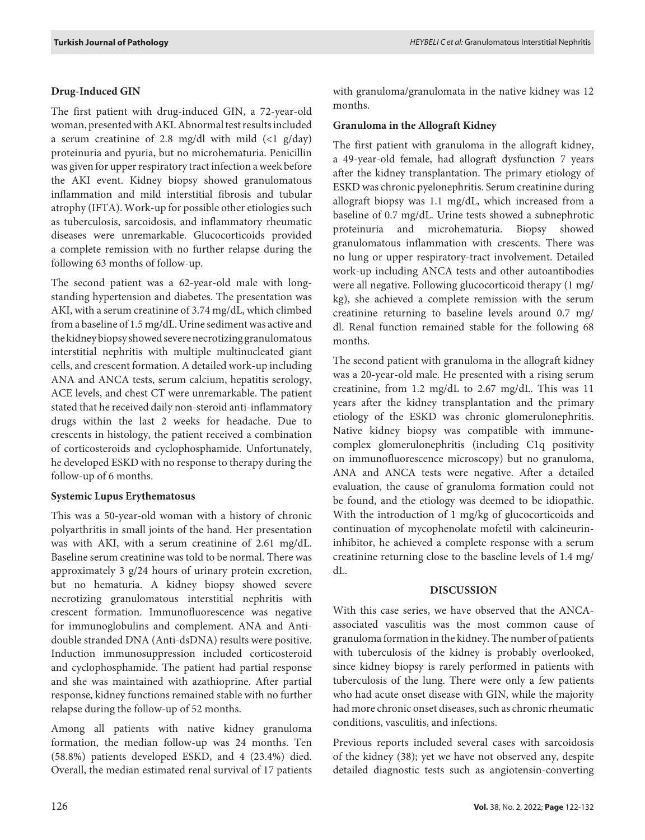# **Drug-Induced GIN**

The first patient with drug-induced GIN, a 72-year-old woman, presented with AKI. Abnormal test results included a serum creatinine of 2.8 mg/dl with mild  $\left(\frac{1}{2} \right)$  g/day) proteinuria and pyuria, but no microhematuria. Penicillin was given for upper respiratory tract infection a week before the AKI event. Kidney biopsy showed granulomatous inflammation and mild interstitial fibrosis and tubular atrophy (IFTA). Work-up for possible other etiologies such as tuberculosis, sarcoidosis, and inflammatory rheumatic diseases were unremarkable. Glucocorticoids provided a complete remission with no further relapse during the following 63 months of follow-up.

The second patient was a 62-year-old male with longstanding hypertension and diabetes. The presentation was AKI, with a serum creatinine of 3.74 mg/dL, which climbed from a baseline of 1.5 mg/dL. Urine sediment was active and the kidney biopsy showed severe necrotizing granulomatous interstitial nephritis with multiple multinucleated giant cells, and crescent formation. A detailed work-up including ANA and ANCA tests, serum calcium, hepatitis serology, ACE levels, and chest CT were unremarkable. The patient stated that he received daily non-steroid anti-inflammatory drugs within the last 2 weeks for headache. Due to crescents in histology, the patient received a combination of corticosteroids and cyclophosphamide. Unfortunately, he developed ESKD with no response to therapy during the follow-up of 6 months.

# **Systemic Lupus Erythematosus**

This was a 50-year-old woman with a history of chronic polyarthritis in small joints of the hand. Her presentation was with AKI, with a serum creatinine of 2.61 mg/dL. Baseline serum creatinine was told to be normal. There was approximately 3 g/24 hours of urinary protein excretion, but no hematuria. A kidney biopsy showed severe necrotizing granulomatous interstitial nephritis with crescent formation. Immunofluorescence was negative for immunoglobulins and complement. ANA and Antidouble stranded DNA (Anti-dsDNA) results were positive. Induction immunosuppression included corticosteroid and cyclophosphamide. The patient had partial response and she was maintained with azathioprine. After partial response, kidney functions remained stable with no further relapse during the follow-up of 52 months.

Among all patients with native kidney granuloma formation, the median follow-up was 24 months. Ten (58.8%) patients developed ESKD, and 4 (23.4%) died. Overall, the median estimated renal survival of 17 patients

with granuloma/granulomata in the native kidney was 12 months.

# **Granuloma in the Allograft Kidney**

The first patient with granuloma in the allograft kidney, a 49-year-old female, had allograft dysfunction 7 years after the kidney transplantation. The primary etiology of ESKD was chronic pyelonephritis. Serum creatinine during allograft biopsy was 1.1 mg/dL, which increased from a baseline of 0.7 mg/dL. Urine tests showed a subnephrotic proteinuria and microhematuria. Biopsy showed granulomatous inflammation with crescents. There was no lung or upper respiratory-tract involvement. Detailed work-up including ANCA tests and other autoantibodies were all negative. Following glucocorticoid therapy (1 mg/ kg), she achieved a complete remission with the serum creatinine returning to baseline levels around 0.7 mg/ dl. Renal function remained stable for the following 68 months.

The second patient with granuloma in the allograft kidney was a 20-year-old male. He presented with a rising serum creatinine, from 1.2 mg/dL to 2.67 mg/dL. This was 11 years after the kidney transplantation and the primary etiology of the ESKD was chronic glomerulonephritis. Native kidney biopsy was compatible with immunecomplex glomerulonephritis (including C1q positivity on immunofluorescence microscopy) but no granuloma, ANA and ANCA tests were negative. After a detailed evaluation, the cause of granuloma formation could not be found, and the etiology was deemed to be idiopathic. With the introduction of 1 mg/kg of glucocorticoids and continuation of mycophenolate mofetil with calcineurininhibitor, he achieved a complete response with a serum creatinine returning close to the baseline levels of 1.4 mg/ dL.

# **DISCUSSION**

With this case series, we have observed that the ANCAassociated vasculitis was the most common cause of granuloma formation in the kidney. The number of patients with tuberculosis of the kidney is probably overlooked, since kidney biopsy is rarely performed in patients with tuberculosis of the lung. There were only a few patients who had acute onset disease with GIN, while the majority had more chronic onset diseases, such as chronic rheumatic conditions, vasculitis, and infections.

Previous reports included several cases with sarcoidosis of the kidney (38); yet we have not observed any, despite detailed diagnostic tests such as angiotensin-converting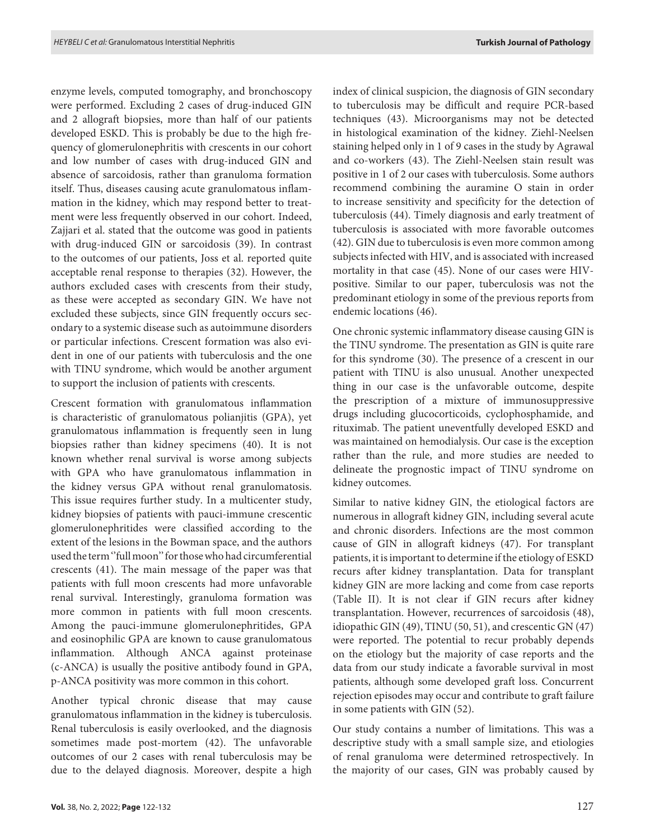enzyme levels, computed tomography, and bronchoscopy were performed. Excluding 2 cases of drug-induced GIN and 2 allograft biopsies, more than half of our patients developed ESKD. This is probably be due to the high frequency of glomerulonephritis with crescents in our cohort and low number of cases with drug-induced GIN and absence of sarcoidosis, rather than granuloma formation itself. Thus, diseases causing acute granulomatous inflammation in the kidney, which may respond better to treatment were less frequently observed in our cohort. Indeed, Zajjari et al. stated that the outcome was good in patients with drug-induced GIN or sarcoidosis (39). In contrast to the outcomes of our patients, Joss et al. reported quite acceptable renal response to therapies (32). However, the authors excluded cases with crescents from their study, as these were accepted as secondary GIN. We have not excluded these subjects, since GIN frequently occurs secondary to a systemic disease such as autoimmune disorders or particular infections. Crescent formation was also evident in one of our patients with tuberculosis and the one with TINU syndrome, which would be another argument to support the inclusion of patients with crescents.

Crescent formation with granulomatous inflammation is characteristic of granulomatous polianjitis (GPA), yet granulomatous inflammation is frequently seen in lung biopsies rather than kidney specimens (40). It is not known whether renal survival is worse among subjects with GPA who have granulomatous inflammation in the kidney versus GPA without renal granulomatosis. This issue requires further study. In a multicenter study, kidney biopsies of patients with pauci-immune crescentic glomerulonephritides were classified according to the extent of the lesions in the Bowman space, and the authors used the term ''full moon'' for those who had circumferential crescents (41). The main message of the paper was that patients with full moon crescents had more unfavorable renal survival. Interestingly, granuloma formation was more common in patients with full moon crescents. Among the pauci-immune glomerulonephritides, GPA and eosinophilic GPA are known to cause granulomatous inflammation. Although ANCA against proteinase (c-ANCA) is usually the positive antibody found in GPA, p-ANCA positivity was more common in this cohort.

Another typical chronic disease that may cause granulomatous inflammation in the kidney is tuberculosis. Renal tuberculosis is easily overlooked, and the diagnosis sometimes made post-mortem (42). The unfavorable outcomes of our 2 cases with renal tuberculosis may be due to the delayed diagnosis. Moreover, despite a high

index of clinical suspicion, the diagnosis of GIN secondary to tuberculosis may be difficult and require PCR-based techniques (43). Microorganisms may not be detected in histological examination of the kidney. Ziehl-Neelsen staining helped only in 1 of 9 cases in the study by Agrawal and co-workers (43). The Ziehl-Neelsen stain result was positive in 1 of 2 our cases with tuberculosis. Some authors recommend combining the auramine O stain in order to increase sensitivity and specificity for the detection of tuberculosis (44). Timely diagnosis and early treatment of tuberculosis is associated with more favorable outcomes (42). GIN due to tuberculosis is even more common among subjects infected with HIV, and is associated with increased mortality in that case (45). None of our cases were HIVpositive. Similar to our paper, tuberculosis was not the predominant etiology in some of the previous reports from endemic locations (46).

One chronic systemic inflammatory disease causing GIN is the TINU syndrome. The presentation as GIN is quite rare for this syndrome (30). The presence of a crescent in our patient with TINU is also unusual. Another unexpected thing in our case is the unfavorable outcome, despite the prescription of a mixture of immunosuppressive drugs including glucocorticoids, cyclophosphamide, and rituximab. The patient uneventfully developed ESKD and was maintained on hemodialysis. Our case is the exception rather than the rule, and more studies are needed to delineate the prognostic impact of TINU syndrome on kidney outcomes.

Similar to native kidney GIN, the etiological factors are numerous in allograft kidney GIN, including several acute and chronic disorders. Infections are the most common cause of GIN in allograft kidneys (47). For transplant patients, it is important to determine if the etiology of ESKD recurs after kidney transplantation. Data for transplant kidney GIN are more lacking and come from case reports (Table II). It is not clear if GIN recurs after kidney transplantation. However, recurrences of sarcoidosis (48), idiopathic GIN (49), TINU (50, 51), and crescentic GN (47) were reported. The potential to recur probably depends on the etiology but the majority of case reports and the data from our study indicate a favorable survival in most patients, although some developed graft loss. Concurrent rejection episodes may occur and contribute to graft failure in some patients with GIN (52).

Our study contains a number of limitations. This was a descriptive study with a small sample size, and etiologies of renal granuloma were determined retrospectively. In the majority of our cases, GIN was probably caused by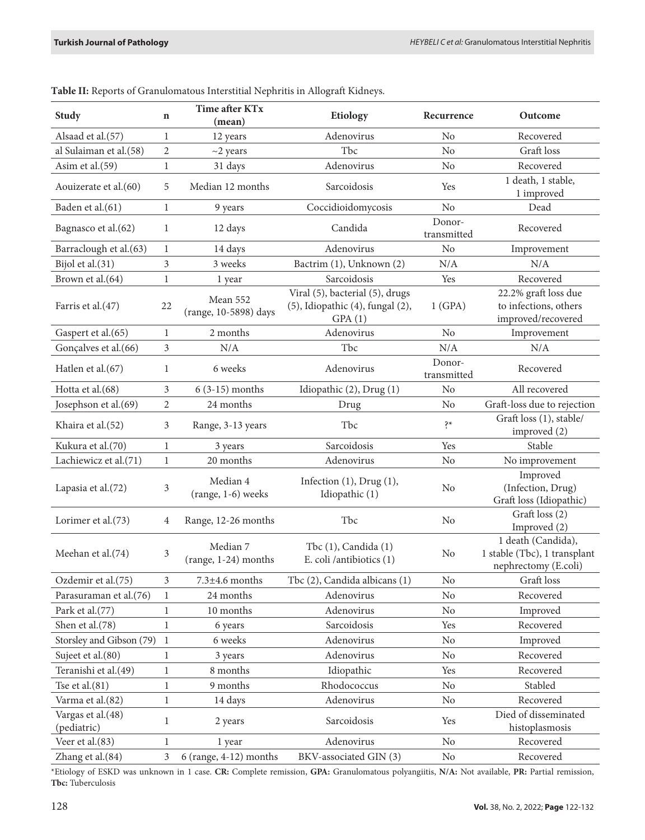| <b>Study</b>                     |                                                         | Time after KTx<br>(mean)          | Etiology                                                                               | Recurrence            | Outcome                                                                    |  |
|----------------------------------|---------------------------------------------------------|-----------------------------------|----------------------------------------------------------------------------------------|-----------------------|----------------------------------------------------------------------------|--|
| Alsaad et al.(57)                | $\mathbf{1}$                                            | 12 years                          | Adenovirus                                                                             |                       | Recovered                                                                  |  |
| al Sulaiman et al.(58)           |                                                         | $~2$ years                        | Tbc                                                                                    | N <sub>o</sub>        | Graft loss                                                                 |  |
| Asim et al.(59)                  | $\mathbf{1}$                                            | 31 days                           | Adenovirus                                                                             | No                    | Recovered                                                                  |  |
| Aouizerate et al.(60)            |                                                         | Median 12 months                  | Sarcoidosis                                                                            | Yes                   | 1 death, 1 stable,<br>1 improved                                           |  |
| Baden et al.(61)                 |                                                         | 9 years                           | Coccidioidomycosis                                                                     | No                    | Dead                                                                       |  |
| Bagnasco et al.(62)              |                                                         | 12 days                           | Candida                                                                                | Donor-<br>transmitted | Recovered                                                                  |  |
| Barraclough et al.(63)           | 1                                                       | 14 days                           | Adenovirus                                                                             | No                    | Improvement                                                                |  |
| Bijol et al.(31)                 | 3                                                       | 3 weeks                           | Bactrim (1), Unknown (2)                                                               | N/A                   | N/A                                                                        |  |
| Brown et al.(64)                 | $\mathbf{1}$                                            | 1 year                            | Sarcoidosis                                                                            | Yes                   | Recovered                                                                  |  |
| Farris et al.(47)                |                                                         | Mean 552<br>(range, 10-5898) days | Viral (5), bacterial (5), drugs<br>$(5)$ , Idiopathic $(4)$ , fungal $(2)$ ,<br>GPA(1) | 1(GPA)                | 22.2% graft loss due<br>to infections, others<br>improved/recovered        |  |
| Gaspert et al.(65)               | $\mathbf{1}$                                            | 2 months                          | Adenovirus                                                                             | No                    | Improvement                                                                |  |
| Gonçalves et al.(66)             | 3                                                       | $\rm N/A$                         | Tbc                                                                                    | N/A                   | $\rm N/A$                                                                  |  |
| Hatlen et al.(67)                |                                                         | 6 weeks                           | Adenovirus                                                                             | Donor-<br>transmitted | Recovered                                                                  |  |
| Hotta et al.(68)                 | 3                                                       | $6(3-15)$ months                  | Idiopathic (2), Drug (1)                                                               | No                    | All recovered                                                              |  |
| Josephson et al.(69)             | $\overline{2}$                                          | 24 months                         | Drug                                                                                   | No                    | Graft-loss due to rejection                                                |  |
| Khaira et al.(52)                |                                                         | Range, 3-13 years                 | Tbc                                                                                    | $\dot{\xi}$           | Graft loss (1), stable/<br>improved (2)                                    |  |
| Kukura et al.(70)                | 1                                                       | 3 years                           | Sarcoidosis                                                                            | Yes                   | Stable                                                                     |  |
| Lachiewicz et al.(71)            | $\mathbf{1}$                                            | 20 months                         | Adenovirus                                                                             | No                    | No improvement                                                             |  |
| Lapasia et al.(72)               | 3                                                       | Median 4<br>(range, 1-6) weeks    | Infection $(1)$ , Drug $(1)$ ,<br>Idiopathic (1)                                       | N <sub>o</sub>        | Improved<br>(Infection, Drug)<br>Graft loss (Idiopathic)                   |  |
| Lorimer et al.(73)               | 4                                                       | Range, 12-26 months               | Tbc                                                                                    | N <sub>o</sub>        | Graft loss (2)<br>Improved (2)                                             |  |
| Meehan et al.(74)                |                                                         | Median 7<br>(range, 1-24) months  | Tbc (1), Candida (1)<br>E. coli /antibiotics (1)                                       | No                    | 1 death (Candida),<br>1 stable (Tbc), 1 transplant<br>nephrectomy (E.coli) |  |
| Ozdemir et al.(75)               | $\mathfrak{Z}$                                          | $7.3 \pm 4.6$ months              | Tbc (2), Candida albicans (1)                                                          | No                    | Graft loss                                                                 |  |
| Parasuraman et al.(76)           | 1                                                       | 24 months                         | Adenovirus                                                                             | No                    | Recovered                                                                  |  |
| Park et al.(77)                  | $\mathbf{1}$                                            | 10 months                         | Adenovirus                                                                             | $\rm No$              | Improved                                                                   |  |
| Shen et al.(78)                  |                                                         | 6 years                           | Sarcoidosis                                                                            | Yes                   | Recovered                                                                  |  |
| Storsley and Gibson (79)<br>1    |                                                         | 6 weeks                           | Adenovirus                                                                             | No                    | Improved                                                                   |  |
| Sujeet et al.(80)                | $\mathbf{1}$<br>3 years                                 |                                   | Adenovirus                                                                             | No                    | Recovered                                                                  |  |
| Teranishi et al.(49)             | $\mathbf{1}$                                            | 8 months                          | Idiopathic                                                                             | Yes                   | Recovered                                                                  |  |
| Tse et al. $(81)$                | 9 months<br>$\mathbf{1}$                                |                                   | Rhodococcus                                                                            | No                    | Stabled                                                                    |  |
| Varma et al.(82)                 |                                                         | Adenovirus<br>14 days             |                                                                                        | No                    | Recovered                                                                  |  |
| Vargas et al.(48)<br>(pediatric) |                                                         | 2 years                           | Sarcoidosis                                                                            | Yes                   | Died of disseminated<br>histoplasmosis                                     |  |
| Veer et al.(83)                  | $\mathbf{1}$<br>1 year                                  |                                   | Adenovirus                                                                             | No                    | Recovered                                                                  |  |
| Zhang et al.(84)                 | 3<br>BKV-associated GIN (3)<br>$6$ (range, 4-12) months |                                   | No                                                                                     | Recovered             |                                                                            |  |

**Table II:** Reports of Granulomatous Interstitial Nephritis in Allograft Kidneys.

\*Etiology of ESKD was unknown in 1 case. **CR:** Complete remission, **GPA:** Granulomatous polyangiitis, **N/A:** Not available, **PR:** Partial remission, **Tbc:** Tuberculosis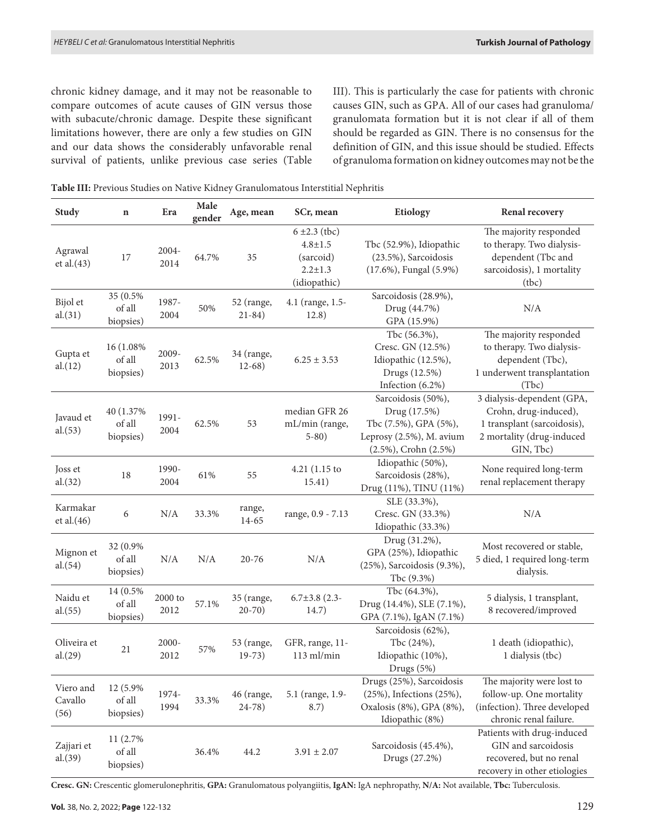chronic kidney damage, and it may not be reasonable to compare outcomes of acute causes of GIN versus those with subacute/chronic damage. Despite these significant limitations however, there are only a few studies on GIN and our data shows the considerably unfavorable renal survival of patients, unlike previous case series (Table III). This is particularly the case for patients with chronic causes GIN, such as GPA. All of our cases had granuloma/ granulomata formation but it is not clear if all of them should be regarded as GIN. There is no consensus for the definition of GIN, and this issue should be studied. Effects of granuloma formation on kidney outcomes may not be the

**Table III:** Previous Studies on Native Kidney Granulomatous Interstitial Nephritis

| <b>Study</b>                 | $\mathbf n$                       | Era               | Male<br>gender | Age, mean                 | SCr, mean                                                                      | Etiology                                                                                                               | Renal recovery                                                                                                               |
|------------------------------|-----------------------------------|-------------------|----------------|---------------------------|--------------------------------------------------------------------------------|------------------------------------------------------------------------------------------------------------------------|------------------------------------------------------------------------------------------------------------------------------|
| Agrawal<br>et al. $(43)$     | 17                                | 2004-<br>2014     | 64.7%          | 35                        | $6 \pm 2.3$ (tbc)<br>$4.8 + 1.5$<br>(sarcoid)<br>$2.2 \pm 1.3$<br>(idiopathic) | Tbc (52.9%), Idiopathic<br>(23.5%), Sarcoidosis<br>$(17.6\%)$ , Fungal $(5.9\%)$                                       | The majority responded<br>to therapy. Two dialysis-<br>dependent (Tbc and<br>sarcoidosis), 1 mortality<br>(tbc)              |
| Bijol et<br>al.(31)          | 35 (0.5%)<br>of all<br>biopsies)  | 1987-<br>2004     | 50%            | 52 (range,<br>$21 - 84$ ) | 4.1 (range, 1.5-<br>12.8)                                                      | Sarcoidosis (28.9%),<br>Drug (44.7%)<br>GPA (15.9%)                                                                    | N/A                                                                                                                          |
| Gupta et<br>al.(12)          | 16 (1.08%)<br>of all<br>biopsies) | 2009-<br>2013     | 62.5%          | 34 (range,<br>$12-68)$    | $6.25 \pm 3.53$                                                                | Tbc (56.3%),<br>Cresc. GN (12.5%)<br>Idiopathic (12.5%),<br>Drugs (12.5%)<br>Infection (6.2%)                          | The majority responded<br>to therapy. Two dialysis-<br>dependent (Tbc),<br>1 underwent transplantation<br>(Tbc)              |
| Javaud et<br>al.(53)         | 40 (1.37%)<br>of all<br>biopsies) | 1991-<br>2004     | 62.5%          | 53                        | median GFR 26<br>mL/min (range,<br>$5-80)$                                     | Sarcoidosis (50%),<br>Drug (17.5%)<br>Tbc (7.5%), GPA (5%),<br>Leprosy (2.5%), M. avium<br>$(2.5\%)$ , Crohn $(2.5\%)$ | 3 dialysis-dependent (GPA,<br>Crohn, drug-induced),<br>1 transplant (sarcoidosis),<br>2 mortality (drug-induced<br>GIN, Tbc) |
| Joss et<br>al.(32)           | 18                                | 1990-<br>2004     | 61%            | 55                        | $4.21(1.15$ to<br>15.41)                                                       | Idiopathic (50%),<br>Sarcoidosis (28%),<br>Drug (11%), TINU (11%)                                                      | None required long-term<br>renal replacement therapy                                                                         |
| Karmakar<br>et al.(46)       | 6                                 | $\rm N/A$         | 33.3%          | range,<br>14-65           | range, 0.9 - 7.13                                                              | SLE (33.3%),<br>Cresc. GN (33.3%)<br>Idiopathic (33.3%)                                                                | $\rm N/A$                                                                                                                    |
| Mignon et<br>al.(54)         | 32 (0.9%)<br>of all<br>biopsies)  | N/A               | N/A            | $20 - 76$                 | N/A                                                                            | Drug (31.2%),<br>GPA (25%), Idiopathic<br>(25%), Sarcoidosis (9.3%),<br>Tbc (9.3%)                                     | Most recovered or stable,<br>5 died, 1 required long-term<br>dialysis.                                                       |
| Naidu et<br>al.(55)          | 14 (0.5%)<br>of all<br>biopsies)  | $2000$ to<br>2012 | 57.1%          | 35 (range,<br>$20 - 70$   | $6.7\pm3.8$ (2.3-<br>14.7)                                                     | Tbc (64.3%),<br>Drug (14.4%), SLE (7.1%),<br>GPA (7.1%), IgAN (7.1%)                                                   | 5 dialysis, 1 transplant,<br>8 recovered/improved                                                                            |
| Oliveira et<br>al.(29)       | 21                                | 2000-<br>2012     | 57%            | 53 (range,<br>$19-73)$    | GFR, range, 11-<br>$113$ ml/min                                                | Sarcoidosis (62%),<br>Tbc (24%),<br>Idiopathic (10%),<br>Drugs (5%)                                                    | 1 death (idiopathic),<br>1 dialysis (tbc)                                                                                    |
| Viero and<br>Cavallo<br>(56) | 12 (5.9%)<br>of all<br>biopsies)  | 1974-<br>1994     | 33.3%          | 46 (range,<br>$24 - 78$   | 5.1 (range, 1.9-<br>8.7)                                                       | Drugs (25%), Sarcoidosis<br>(25%), Infections (25%),<br>Oxalosis (8%), GPA (8%),<br>Idiopathic (8%)                    | The majority were lost to<br>follow-up. One mortality<br>(infection). Three developed<br>chronic renal failure.              |
| Zajjari et<br>al.(39)        | 11 (2.7%)<br>of all<br>biopsies)  |                   | 36.4%          | 44.2                      | $3.91 \pm 2.07$                                                                | Sarcoidosis (45.4%),<br>Drugs (27.2%)                                                                                  | Patients with drug-induced<br>GIN and sarcoidosis<br>recovered, but no renal<br>recovery in other etiologies                 |

**Cresc. GN:** Crescentic glomerulonephritis, **GPA:** Granulomatous polyangiitis, **IgAN:** IgA nephropathy, **N/A:** Not available, **Tbc:** Tuberculosis.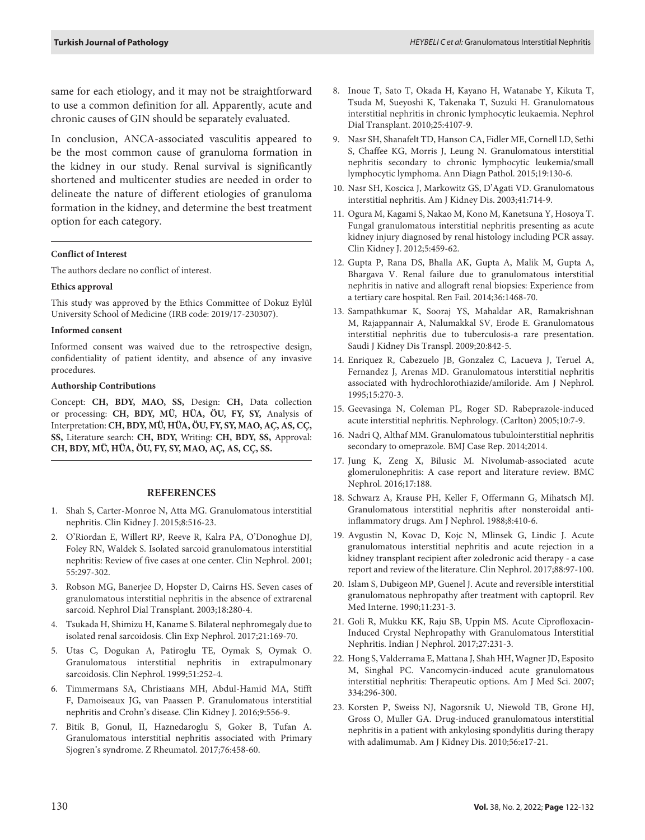same for each etiology, and it may not be straightforward to use a common definition for all. Apparently, acute and chronic causes of GIN should be separately evaluated.

In conclusion, ANCA-associated vasculitis appeared to be the most common cause of granuloma formation in the kidney in our study. Renal survival is significantly shortened and multicenter studies are needed in order to delineate the nature of different etiologies of granuloma formation in the kidney, and determine the best treatment option for each category.

#### **Conflict of Interest**

The authors declare no conflict of interest.

#### **Ethics approval**

This study was approved by the Ethics Committee of Dokuz Eylül University School of Medicine (IRB code: 2019/17-230307).

#### **Informed consent**

Informed consent was waived due to the retrospective design, confidentiality of patient identity, and absence of any invasive procedures.

#### **Authorship Contributions**

Concept: **CH, BDY, MAO, SS,** Design: **CH,** Data collection or processing: **CH, BDY, MÜ, HÜA, ÖU, FY, SY,** Analysis of Interpretation: **CH, BDY, MÜ, HÜA, ÖU, FY, SY, MAO, AÇ, AS, CÇ, SS,** Literature search: **CH, BDY,** Writing: **CH, BDY, SS,** Approval: **CH, BDY, MÜ, HÜA, ÖU, FY, SY, MAO, AÇ, AS, CÇ, SS.**

#### **REFERENCES**

- 1. Shah S, Carter-Monroe N, Atta MG. Granulomatous interstitial nephritis. Clin Kidney J. 2015;8:516-23.
- 2. O'Riordan E, Willert RP, Reeve R, Kalra PA, O'Donoghue DJ, Foley RN, Waldek S. Isolated sarcoid granulomatous interstitial nephritis: Review of five cases at one center. Clin Nephrol. 2001; 55:297-302.
- 3. Robson MG, Banerjee D, Hopster D, Cairns HS. Seven cases of granulomatous interstitial nephritis in the absence of extrarenal sarcoid. Nephrol Dial Transplant. 2003;18:280-4.
- 4. Tsukada H, Shimizu H, Kaname S. Bilateral nephromegaly due to isolated renal sarcoidosis. Clin Exp Nephrol. 2017;21:169-70.
- 5. Utas C, Dogukan A, Patiroglu TE, Oymak S, Oymak O. Granulomatous interstitial nephritis in extrapulmonary sarcoidosis. Clin Nephrol. 1999;51:252-4.
- 6. Timmermans SA, Christiaans MH, Abdul-Hamid MA, Stifft F, Damoiseaux JG, van Paassen P. Granulomatous interstitial nephritis and Crohn's disease. Clin Kidney J. 2016;9:556-9.
- 7. Bitik B, Gonul, II, Haznedaroglu S, Goker B, Tufan A. Granulomatous interstitial nephritis associated with Primary Sjogren's syndrome. Z Rheumatol. 2017;76:458-60.
- 8. Inoue T, Sato T, Okada H, Kayano H, Watanabe Y, Kikuta T, Tsuda M, Sueyoshi K, Takenaka T, Suzuki H. Granulomatous interstitial nephritis in chronic lymphocytic leukaemia. Nephrol Dial Transplant. 2010;25:4107-9.
- 9. Nasr SH, Shanafelt TD, Hanson CA, Fidler ME, Cornell LD, Sethi S, Chaffee KG, Morris J, Leung N. Granulomatous interstitial nephritis secondary to chronic lymphocytic leukemia/small lymphocytic lymphoma. Ann Diagn Pathol. 2015;19:130-6.
- 10. Nasr SH, Koscica J, Markowitz GS, D'Agati VD. Granulomatous interstitial nephritis. Am J Kidney Dis. 2003;41:714-9.
- 11. Ogura M, Kagami S, Nakao M, Kono M, Kanetsuna Y, Hosoya T. Fungal granulomatous interstitial nephritis presenting as acute kidney injury diagnosed by renal histology including PCR assay. Clin Kidney J. 2012;5:459-62.
- 12. Gupta P, Rana DS, Bhalla AK, Gupta A, Malik M, Gupta A, Bhargava V. Renal failure due to granulomatous interstitial nephritis in native and allograft renal biopsies: Experience from a tertiary care hospital. Ren Fail. 2014;36:1468-70.
- 13. Sampathkumar K, Sooraj YS, Mahaldar AR, Ramakrishnan M, Rajappannair A, Nalumakkal SV, Erode E. Granulomatous interstitial nephritis due to tuberculosis-a rare presentation. Saudi J Kidney Dis Transpl. 2009;20:842-5.
- 14. Enriquez R, Cabezuelo JB, Gonzalez C, Lacueva J, Teruel A, Fernandez J, Arenas MD. Granulomatous interstitial nephritis associated with hydrochlorothiazide/amiloride. Am J Nephrol. 1995;15:270-3.
- 15. Geevasinga N, Coleman PL, Roger SD. Rabeprazole-induced acute interstitial nephritis. Nephrology. (Carlton) 2005;10:7-9.
- 16. Nadri Q, Althaf MM. Granulomatous tubulointerstitial nephritis secondary to omeprazole. BMJ Case Rep. 2014;2014.
- 17. Jung K, Zeng X, Bilusic M. Nivolumab-associated acute glomerulonephritis: A case report and literature review. BMC Nephrol. 2016;17:188.
- 18. Schwarz A, Krause PH, Keller F, Offermann G, Mihatsch MJ. Granulomatous interstitial nephritis after nonsteroidal antiinflammatory drugs. Am J Nephrol. 1988;8:410-6.
- 19. Avgustin N, Kovac D, Kojc N, Mlinsek G, Lindic J. Acute granulomatous interstitial nephritis and acute rejection in a kidney transplant recipient after zoledronic acid therapy - a case report and review of the literature. Clin Nephrol. 2017;88:97-100.
- 20. Islam S, Dubigeon MP, Guenel J. Acute and reversible interstitial granulomatous nephropathy after treatment with captopril. Rev Med Interne. 1990;11:231-3.
- 21. Goli R, Mukku KK, Raju SB, Uppin MS. Acute Ciprofloxacin-Induced Crystal Nephropathy with Granulomatous Interstitial Nephritis. Indian J Nephrol. 2017;27:231-3.
- 22. Hong S, Valderrama E, Mattana J, Shah HH, Wagner JD, Esposito M, Singhal PC. Vancomycin-induced acute granulomatous interstitial nephritis: Therapeutic options. Am J Med Sci. 2007; 334:296-300.
- 23. Korsten P, Sweiss NJ, Nagorsnik U, Niewold TB, Grone HJ, Gross O, Muller GA. Drug-induced granulomatous interstitial nephritis in a patient with ankylosing spondylitis during therapy with adalimumab. Am J Kidney Dis. 2010;56:e17-21.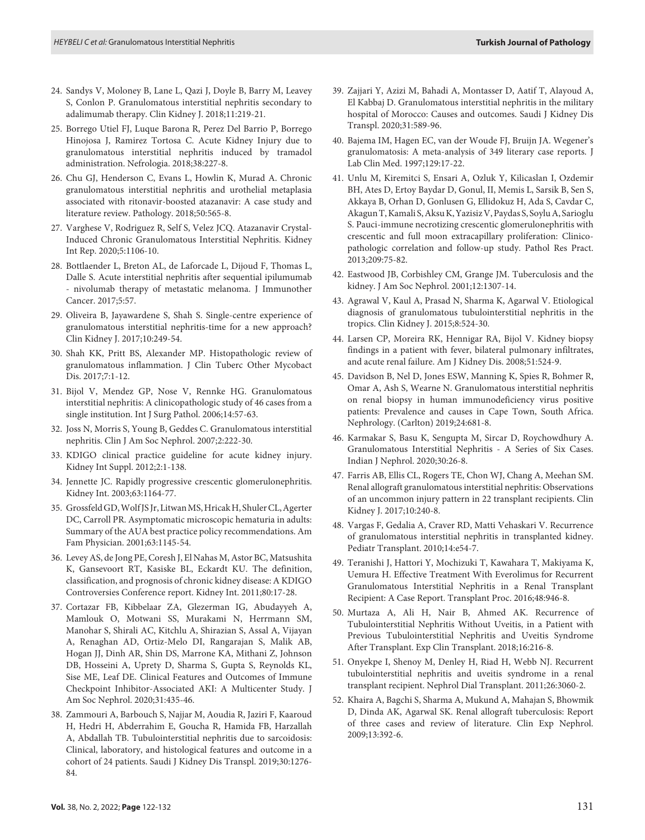- 24. Sandys V, Moloney B, Lane L, Qazi J, Doyle B, Barry M, Leavey S, Conlon P. Granulomatous interstitial nephritis secondary to adalimumab therapy. Clin Kidney J. 2018;11:219-21.
- 25. Borrego Utiel FJ, Luque Barona R, Perez Del Barrio P, Borrego Hinojosa J, Ramirez Tortosa C. Acute Kidney Injury due to granulomatous interstitial nephritis induced by tramadol administration. Nefrologia. 2018;38:227-8.
- 26. Chu GJ, Henderson C, Evans L, Howlin K, Murad A. Chronic granulomatous interstitial nephritis and urothelial metaplasia associated with ritonavir-boosted atazanavir: A case study and literature review. Pathology. 2018;50:565-8.
- 27. Varghese V, Rodriguez R, Self S, Velez JCQ. Atazanavir Crystal-Induced Chronic Granulomatous Interstitial Nephritis. Kidney Int Rep. 2020;5:1106-10.
- 28. Bottlaender L, Breton AL, de Laforcade L, Dijoud F, Thomas L, Dalle S. Acute interstitial nephritis after sequential ipilumumab - nivolumab therapy of metastatic melanoma. J Immunother Cancer. 2017;5:57.
- 29. Oliveira B, Jayawardene S, Shah S. Single-centre experience of granulomatous interstitial nephritis-time for a new approach? Clin Kidney J. 2017;10:249-54.
- 30. Shah KK, Pritt BS, Alexander MP. Histopathologic review of granulomatous inflammation. J Clin Tuberc Other Mycobact Dis. 2017;7:1-12.
- 31. Bijol V, Mendez GP, Nose V, Rennke HG. Granulomatous interstitial nephritis: A clinicopathologic study of 46 cases from a single institution. Int J Surg Pathol. 2006;14:57-63.
- 32. Joss N, Morris S, Young B, Geddes C. Granulomatous interstitial nephritis. Clin J Am Soc Nephrol. 2007;2:222-30.
- 33. KDIGO clinical practice guideline for acute kidney injury. Kidney Int Suppl. 2012;2:1-138.
- 34. Jennette JC. Rapidly progressive crescentic glomerulonephritis. Kidney Int. 2003;63:1164-77.
- 35. Grossfeld GD, Wolf JS Jr, Litwan MS, Hricak H, Shuler CL, Agerter DC, Carroll PR. Asymptomatic microscopic hematuria in adults: Summary of the AUA best practice policy recommendations. Am Fam Physician. 2001;63:1145-54.
- 36. Levey AS, de Jong PE, Coresh J, El Nahas M, Astor BC, Matsushita K, Gansevoort RT, Kasiske BL, Eckardt KU. The definition, classification, and prognosis of chronic kidney disease: A KDIGO Controversies Conference report. Kidney Int. 2011;80:17-28.
- 37. Cortazar FB, Kibbelaar ZA, Glezerman IG, Abudayyeh A, Mamlouk O, Motwani SS, Murakami N, Herrmann SM, Manohar S, Shirali AC, Kitchlu A, Shirazian S, Assal A, Vijayan A, Renaghan AD, Ortiz-Melo DI, Rangarajan S, Malik AB, Hogan JJ, Dinh AR, Shin DS, Marrone KA, Mithani Z, Johnson DB, Hosseini A, Uprety D, Sharma S, Gupta S, Reynolds KL, Sise ME, Leaf DE. Clinical Features and Outcomes of Immune Checkpoint Inhibitor-Associated AKI: A Multicenter Study. J Am Soc Nephrol. 2020;31:435-46.
- 38. Zammouri A, Barbouch S, Najjar M, Aoudia R, Jaziri F, Kaaroud H, Hedri H, Abderrahim E, Goucha R, Hamida FB, Harzallah A, Abdallah TB. Tubulointerstitial nephritis due to sarcoidosis: Clinical, laboratory, and histological features and outcome in a cohort of 24 patients. Saudi J Kidney Dis Transpl. 2019;30:1276- 84.
- 39. Zajjari Y, Azizi M, Bahadi A, Montasser D, Aatif T, Alayoud A, El Kabbaj D. Granulomatous interstitial nephritis in the military hospital of Morocco: Causes and outcomes. Saudi J Kidney Dis Transpl. 2020;31:589-96.
- 40. Bajema IM, Hagen EC, van der Woude FJ, Bruijn JA. Wegener's granulomatosis: A meta-analysis of 349 literary case reports. J Lab Clin Med. 1997;129:17-22.
- 41. Unlu M, Kiremitci S, Ensari A, Ozluk Y, Kilicaslan I, Ozdemir BH, Ates D, Ertoy Baydar D, Gonul, II, Memis L, Sarsik B, Sen S, Akkaya B, Orhan D, Gonlusen G, Ellidokuz H, Ada S, Cavdar C, Akagun T, Kamali S, Aksu K, Yazisiz V, Paydas S, Soylu A, Sarioglu S. Pauci-immune necrotizing crescentic glomerulonephritis with crescentic and full moon extracapillary proliferation: Clinicopathologic correlation and follow-up study. Pathol Res Pract. 2013;209:75-82.
- 42. Eastwood JB, Corbishley CM, Grange JM. Tuberculosis and the kidney. J Am Soc Nephrol. 2001;12:1307-14.
- 43. Agrawal V, Kaul A, Prasad N, Sharma K, Agarwal V. Etiological diagnosis of granulomatous tubulointerstitial nephritis in the tropics. Clin Kidney J. 2015;8:524-30.
- 44. Larsen CP, Moreira RK, Hennigar RA, Bijol V. Kidney biopsy findings in a patient with fever, bilateral pulmonary infiltrates, and acute renal failure. Am J Kidney Dis. 2008;51:524-9.
- 45. Davidson B, Nel D, Jones ESW, Manning K, Spies R, Bohmer R, Omar A, Ash S, Wearne N. Granulomatous interstitial nephritis on renal biopsy in human immunodeficiency virus positive patients: Prevalence and causes in Cape Town, South Africa. Nephrology. (Carlton) 2019;24:681-8.
- 46. Karmakar S, Basu K, Sengupta M, Sircar D, Roychowdhury A. Granulomatous Interstitial Nephritis - A Series of Six Cases. Indian J Nephrol. 2020;30:26-8.
- 47. Farris AB, Ellis CL, Rogers TE, Chon WJ, Chang A, Meehan SM. Renal allograft granulomatous interstitial nephritis: Observations of an uncommon injury pattern in 22 transplant recipients. Clin Kidney J. 2017;10:240-8.
- 48. Vargas F, Gedalia A, Craver RD, Matti Vehaskari V. Recurrence of granulomatous interstitial nephritis in transplanted kidney. Pediatr Transplant. 2010;14:e54-7.
- 49. Teranishi J, Hattori Y, Mochizuki T, Kawahara T, Makiyama K, Uemura H. Effective Treatment With Everolimus for Recurrent Granulomatous Interstitial Nephritis in a Renal Transplant Recipient: A Case Report. Transplant Proc. 2016;48:946-8.
- 50. Murtaza A, Ali H, Nair B, Ahmed AK. Recurrence of Tubulointerstitial Nephritis Without Uveitis, in a Patient with Previous Tubulointerstitial Nephritis and Uveitis Syndrome After Transplant. Exp Clin Transplant. 2018;16:216-8.
- 51. Onyekpe I, Shenoy M, Denley H, Riad H, Webb NJ. Recurrent tubulointerstitial nephritis and uveitis syndrome in a renal transplant recipient. Nephrol Dial Transplant. 2011;26:3060-2.
- 52. Khaira A, Bagchi S, Sharma A, Mukund A, Mahajan S, Bhowmik D, Dinda AK, Agarwal SK. Renal allograft tuberculosis: Report of three cases and review of literature. Clin Exp Nephrol. 2009;13:392-6.